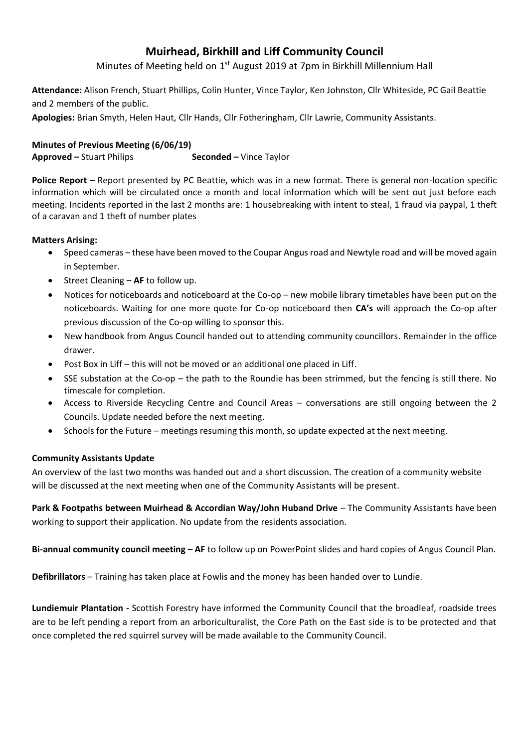# **Muirhead, Birkhill and Liff Community Council**

Minutes of Meeting held on 1<sup>st</sup> August 2019 at 7pm in Birkhill Millennium Hall

**Attendance:** Alison French, Stuart Phillips, Colin Hunter, Vince Taylor, Ken Johnston, Cllr Whiteside, PC Gail Beattie and 2 members of the public.

**Apologies:** Brian Smyth, Helen Haut, Cllr Hands, Cllr Fotheringham, Cllr Lawrie, Community Assistants.

## **Minutes of Previous Meeting (6/06/19)**

**Approved –** Stuart Philips **Seconded –** Vince Taylor

**Police Report** – Report presented by PC Beattie, which was in a new format. There is general non-location specific information which will be circulated once a month and local information which will be sent out just before each meeting. Incidents reported in the last 2 months are: 1 housebreaking with intent to steal, 1 fraud via paypal, 1 theft of a caravan and 1 theft of number plates

### **Matters Arising:**

- Speed cameras these have been moved to the Coupar Angus road and Newtyle road and will be moved again in September.
- Street Cleaning **AF** to follow up.
- Notices for noticeboards and noticeboard at the Co-op new mobile library timetables have been put on the noticeboards. Waiting for one more quote for Co-op noticeboard then **CA's** will approach the Co-op after previous discussion of the Co-op willing to sponsor this.
- New handbook from Angus Council handed out to attending community councillors. Remainder in the office drawer.
- Post Box in Liff this will not be moved or an additional one placed in Liff.
- SSE substation at the Co-op the path to the Roundie has been strimmed, but the fencing is still there. No timescale for completion.
- Access to Riverside Recycling Centre and Council Areas conversations are still ongoing between the 2 Councils. Update needed before the next meeting.
- Schools for the Future meetings resuming this month, so update expected at the next meeting.

### **Community Assistants Update**

An overview of the last two months was handed out and a short discussion. The creation of a community website will be discussed at the next meeting when one of the Community Assistants will be present.

**Park & Footpaths between Muirhead & Accordian Way/John Huband Drive** – The Community Assistants have been working to support their application. No update from the residents association.

**Bi-annual community council meeting** – **AF** to follow up on PowerPoint slides and hard copies of Angus Council Plan.

**Defibrillators** – Training has taken place at Fowlis and the money has been handed over to Lundie.

**Lundiemuir Plantation -** Scottish Forestry have informed the Community Council that the broadleaf, roadside trees are to be left pending a report from an arboriculturalist, the Core Path on the East side is to be protected and that once completed the red squirrel survey will be made available to the Community Council.